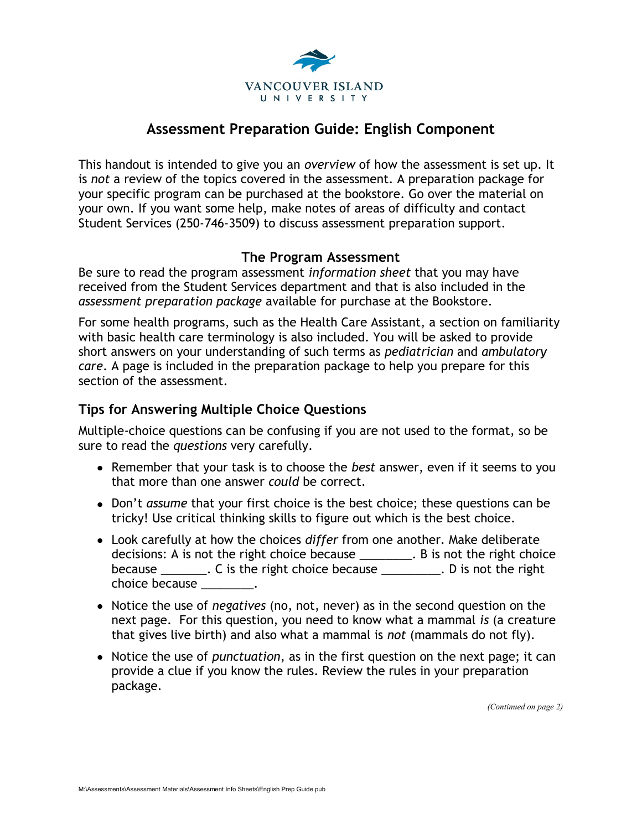

## **Assessment Preparation Guide: English Component**

This handout is intended to give you an *overview* of how the assessment is set up. It is *not* a review of the topics covered in the assessment. A preparation package for your specific program can be purchased at the bookstore. Go over the material on your own. If you want some help, make notes of areas of difficulty and contact Student Services (250-746-3509) to discuss assessment preparation support.

## **The Program Assessment**

Be sure to read the program assessment *information sheet* that you may have received from the Student Services department and that is also included in the *assessment preparation package* available for purchase at the Bookstore.

For some health programs, such as the Health Care Assistant, a section on familiarity with basic health care terminology is also included. You will be asked to provide short answers on your understanding of such terms as *pediatrician* and *ambulatory care*. A page is included in the preparation package to help you prepare for this section of the assessment.

## **Tips for Answering Multiple Choice Questions**

Multiple-choice questions can be confusing if you are not used to the format, so be sure to read the *questions* very carefully.

- Remember that your task is to choose the *best* answer, even if it seems to you that more than one answer *could* be correct.
- Don't *assume* that your first choice is the best choice; these questions can be tricky! Use critical thinking skills to figure out which is the best choice.
- Look carefully at how the choices *differ* from one another. Make deliberate decisions: A is not the right choice because . B is not the right choice because \_\_\_\_\_\_\_\_. C is the right choice because \_\_\_\_\_\_\_\_\_\_. D is not the right choice because \_\_\_\_\_\_\_\_.
- Notice the use of *negatives* (no, not, never) as in the second question on the next page. For this question, you need to know what a mammal *is* (a creature that gives live birth) and also what a mammal is *not* (mammals do not fly).
- Notice the use of *punctuation*, as in the first question on the next page; it can provide a clue if you know the rules. Review the rules in your preparation package.

*(Continued on page 2)*